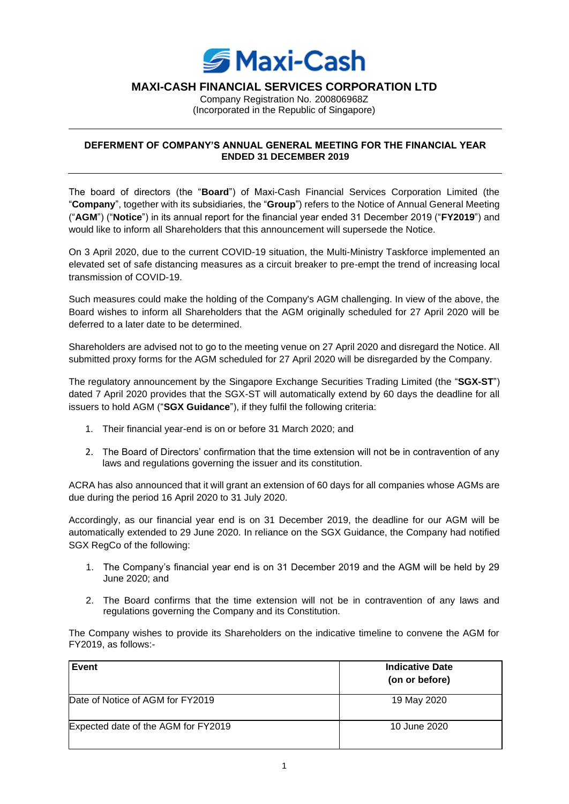

## **MAXI-CASH FINANCIAL SERVICES CORPORATION LTD**

Company Registration No. 200806968Z (Incorporated in the Republic of Singapore)

## **DEFERMENT OF COMPANY'S ANNUAL GENERAL MEETING FOR THE FINANCIAL YEAR ENDED 31 DECEMBER 2019**

The board of directors (the "**Board**") of Maxi-Cash Financial Services Corporation Limited (the "**Company**", together with its subsidiaries, the "**Group**") refers to the Notice of Annual General Meeting ("**AGM**") ("**Notice**") in its annual report for the financial year ended 31 December 2019 ("**FY2019**") and would like to inform all Shareholders that this announcement will supersede the Notice.

On 3 April 2020, due to the current COVID-19 situation, the Multi-Ministry Taskforce implemented an elevated set of safe distancing measures as a circuit breaker to pre-empt the trend of increasing local transmission of COVID-19.

Such measures could make the holding of the Company's AGM challenging. In view of the above, the Board wishes to inform all Shareholders that the AGM originally scheduled for 27 April 2020 will be deferred to a later date to be determined.

Shareholders are advised not to go to the meeting venue on 27 April 2020 and disregard the Notice. All submitted proxy forms for the AGM scheduled for 27 April 2020 will be disregarded by the Company.

The regulatory announcement by the Singapore Exchange Securities Trading Limited (the "**SGX-ST**") dated 7 April 2020 provides that the SGX-ST will automatically extend by 60 days the deadline for all issuers to hold AGM ("**SGX Guidance**"), if they fulfil the following criteria:

- 1. Their financial year-end is on or before 31 March 2020; and
- 2. The Board of Directors' confirmation that the time extension will not be in contravention of any laws and regulations governing the issuer and its constitution.

ACRA has also announced that it will grant an extension of 60 days for all companies whose AGMs are due during the period 16 April 2020 to 31 July 2020.

Accordingly, as our financial year end is on 31 December 2019, the deadline for our AGM will be automatically extended to 29 June 2020. In reliance on the SGX Guidance, the Company had notified SGX RegCo of the following:

- 1. The Company's financial year end is on 31 December 2019 and the AGM will be held by 29 June 2020; and
- 2. The Board confirms that the time extension will not be in contravention of any laws and regulations governing the Company and its Constitution.

The Company wishes to provide its Shareholders on the indicative timeline to convene the AGM for FY2019, as follows:-

| Event                               | <b>Indicative Date</b><br>(on or before) |
|-------------------------------------|------------------------------------------|
| Date of Notice of AGM for FY2019    | 19 May 2020                              |
| Expected date of the AGM for FY2019 | 10 June 2020                             |